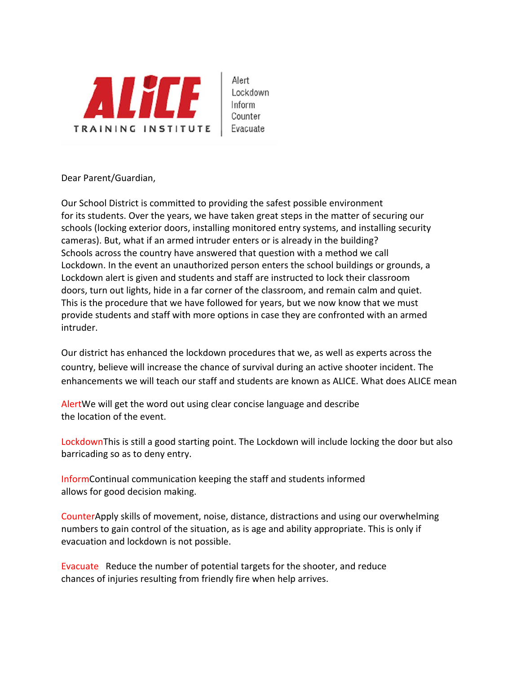

Alert Lockdown Inform Counter Evacuate

Dear Parent/Guardian,

Our School District is committed to providing the safest possible environment for its students. Over the years, we have taken great steps in the matter of securing our schools (locking exterior doors, installing monitored entry systems, and installing security cameras). But, what if an armed intruder enters or is already in the building? Schools across the country have answered that question with a method we call Lockdown. In the event an unauthorized person enters the school buildings or grounds, a Lockdown alert is given and students and staff are instructed to lock their classroom doors, turn out lights, hide in a far corner of the classroom, and remain calm and quiet. This is the procedure that we have followed for years, but we now know that we must provide students and staff with more options in case they are confronted with an armed intruder.

Our district has enhanced the lockdown procedures that we, as well as experts across the country, believe will increase the chance of survival during an active shooter incident. The enhancements we will teach our staff and students are known as ALICE. What does ALICE mean

AlertWe will get the word out using clear concise language and describe the location of the event.

LockdownThis is still a good starting point. The Lockdown will include locking the door but also barricading so as to deny entry.

InformContinual communication keeping the staff and students informed allows for good decision making.

CounterApply skills of movement, noise, distance, distractions and using our overwhelming numbers to gain control of the situation, as is age and ability appropriate. This is only if evacuation and lockdown is not possible.

Evacuate Reduce the number of potential targets for the shooter, and reduce chances of injuries resulting from friendly fire when help arrives.